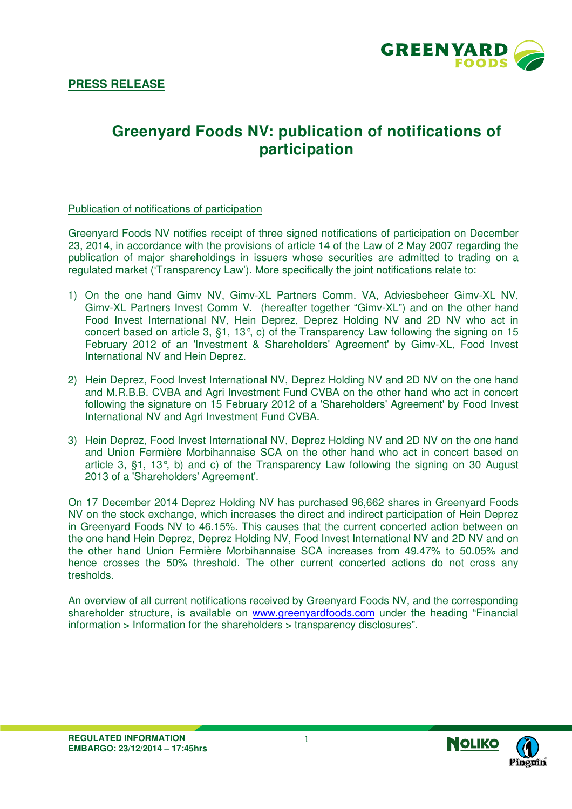

# **Greenyard Foods NV: publication of notifications of participation**

#### Publication of notifications of participation

Greenyard Foods NV notifies receipt of three signed notifications of participation on December 23, 2014, in accordance with the provisions of article 14 of the Law of 2 May 2007 regarding the publication of major shareholdings in issuers whose securities are admitted to trading on a regulated market ('Transparency Law'). More specifically the joint notifications relate to:

- 1) On the one hand Gimv NV, Gimv-XL Partners Comm. VA, Adviesbeheer Gimv-XL NV, Gimv-XL Partners Invest Comm V. (hereafter together "Gimv-XL") and on the other hand Food Invest International NV, Hein Deprez, Deprez Holding NV and 2D NV who act in concert based on article 3, §1, 13°, c) of the Transparency Law following the signing on 15 February 2012 of an 'Investment & Shareholders' Agreement' by Gimv-XL, Food Invest International NV and Hein Deprez.
- 2) Hein Deprez, Food Invest International NV, Deprez Holding NV and 2D NV on the one hand and M.R.B.B. CVBA and Agri Investment Fund CVBA on the other hand who act in concert following the signature on 15 February 2012 of a 'Shareholders' Agreement' by Food Invest International NV and Agri Investment Fund CVBA.
- 3) Hein Deprez, Food Invest International NV, Deprez Holding NV and 2D NV on the one hand and Union Fermière Morbihannaise SCA on the other hand who act in concert based on article 3, §1, 13°, b) and c) of the Transparency Law following the signing on 30 August 2013 of a 'Shareholders' Agreement'.

On 17 December 2014 Deprez Holding NV has purchased 96,662 shares in Greenyard Foods NV on the stock exchange, which increases the direct and indirect participation of Hein Deprez in Greenyard Foods NV to 46.15%. This causes that the current concerted action between on the one hand Hein Deprez, Deprez Holding NV, Food Invest International NV and 2D NV and on the other hand Union Fermière Morbihannaise SCA increases from 49.47% to 50.05% and hence crosses the 50% threshold. The other current concerted actions do not cross any tresholds.

An overview of all current notifications received by Greenyard Foods NV, and the corresponding shareholder structure, is available on www.greenyardfoods.com under the heading "Financial information > Information for the shareholders > transparency disclosures".